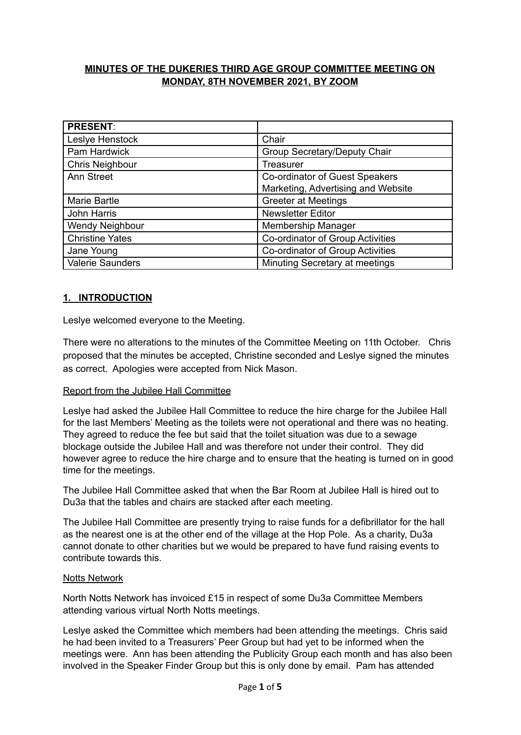## **MINUTES OF THE DUKERIES THIRD AGE GROUP COMMITTEE MEETING ON MONDAY, 8TH NOVEMBER 2021, BY ZOOM**

| <b>PRESENT:</b>        |                                     |
|------------------------|-------------------------------------|
| Leslye Henstock        | Chair                               |
| Pam Hardwick           | <b>Group Secretary/Deputy Chair</b> |
| <b>Chris Neighbour</b> | Treasurer                           |
| <b>Ann Street</b>      | Co-ordinator of Guest Speakers      |
|                        | Marketing, Advertising and Website  |
| Marie Bartle           | <b>Greeter at Meetings</b>          |
| John Harris            | <b>Newsletter Editor</b>            |
| Wendy Neighbour        | Membership Manager                  |
| <b>Christine Yates</b> | Co-ordinator of Group Activities    |
| Jane Young             | Co-ordinator of Group Activities    |
| Valerie Saunders       | Minuting Secretary at meetings      |

## **1. INTRODUCTION**

Leslye welcomed everyone to the Meeting.

There were no alterations to the minutes of the Committee Meeting on 11th October. Chris proposed that the minutes be accepted, Christine seconded and Leslye signed the minutes as correct. Apologies were accepted from Nick Mason.

### Report from the Jubilee Hall Committee

Leslye had asked the Jubilee Hall Committee to reduce the hire charge for the Jubilee Hall for the last Members' Meeting as the toilets were not operational and there was no heating. They agreed to reduce the fee but said that the toilet situation was due to a sewage blockage outside the Jubilee Hall and was therefore not under their control. They did however agree to reduce the hire charge and to ensure that the heating is turned on in good time for the meetings.

The Jubilee Hall Committee asked that when the Bar Room at Jubilee Hall is hired out to Du3a that the tables and chairs are stacked after each meeting.

The Jubilee Hall Committee are presently trying to raise funds for a defibrillator for the hall as the nearest one is at the other end of the village at the Hop Pole. As a charity, Du3a cannot donate to other charities but we would be prepared to have fund raising events to contribute towards this.

### Notts Network

North Notts Network has invoiced £15 in respect of some Du3a Committee Members attending various virtual North Notts meetings.

Leslye asked the Committee which members had been attending the meetings. Chris said he had been invited to a Treasurers' Peer Group but had yet to be informed when the meetings were. Ann has been attending the Publicity Group each month and has also been involved in the Speaker Finder Group but this is only done by email. Pam has attended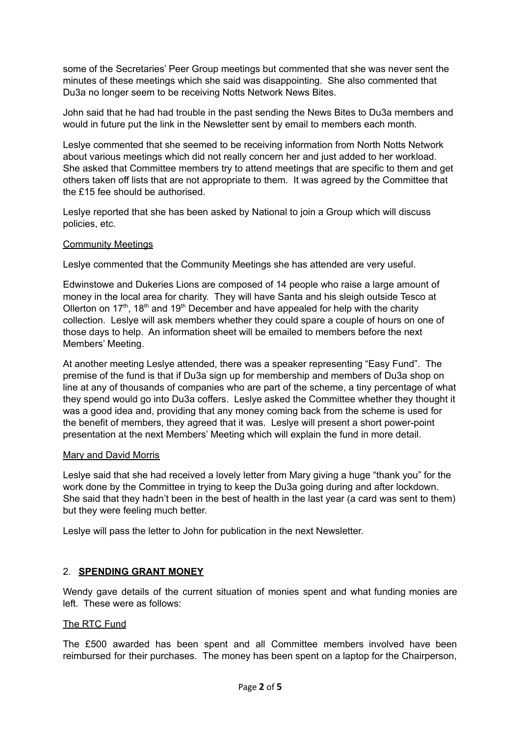some of the Secretaries' Peer Group meetings but commented that she was never sent the minutes of these meetings which she said was disappointing. She also commented that Du3a no longer seem to be receiving Notts Network News Bites.

John said that he had had trouble in the past sending the News Bites to Du3a members and would in future put the link in the Newsletter sent by email to members each month.

Leslye commented that she seemed to be receiving information from North Notts Network about various meetings which did not really concern her and just added to her workload. She asked that Committee members try to attend meetings that are specific to them and get others taken off lists that are not appropriate to them. It was agreed by the Committee that the £15 fee should be authorised.

Leslye reported that she has been asked by National to join a Group which will discuss policies, etc.

### Community Meetings

Leslye commented that the Community Meetings she has attended are very useful.

Edwinstowe and Dukeries Lions are composed of 14 people who raise a large amount of money in the local area for charity. They will have Santa and his sleigh outside Tesco at Ollerton on 17<sup>th</sup>, 18<sup>th</sup> and 19<sup>th</sup> December and have appealed for help with the charity collection. Leslye will ask members whether they could spare a couple of hours on one of those days to help. An information sheet will be emailed to members before the next Members' Meeting.

At another meeting Leslye attended, there was a speaker representing "Easy Fund". The premise of the fund is that if Du3a sign up for membership and members of Du3a shop on line at any of thousands of companies who are part of the scheme, a tiny percentage of what they spend would go into Du3a coffers. Leslye asked the Committee whether they thought it was a good idea and, providing that any money coming back from the scheme is used for the benefit of members, they agreed that it was. Leslye will present a short power-point presentation at the next Members' Meeting which will explain the fund in more detail.

### Mary and David Morris

Leslye said that she had received a lovely letter from Mary giving a huge "thank you" for the work done by the Committee in trying to keep the Du3a going during and after lockdown. She said that they hadn't been in the best of health in the last year (a card was sent to them) but they were feeling much better.

Leslye will pass the letter to John for publication in the next Newsletter.

### 2. **SPENDING GRANT MONEY**

Wendy gave details of the current situation of monies spent and what funding monies are left. These were as follows:

### The RTC Fund

The £500 awarded has been spent and all Committee members involved have been reimbursed for their purchases. The money has been spent on a laptop for the Chairperson,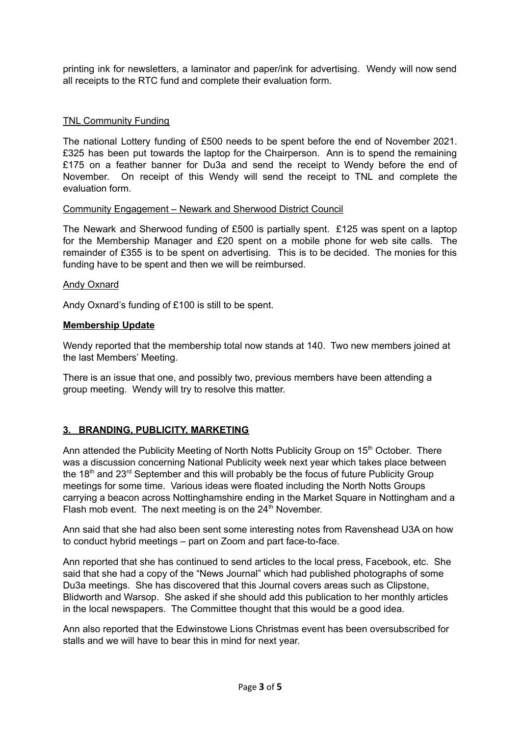printing ink for newsletters, a laminator and paper/ink for advertising. Wendy will now send all receipts to the RTC fund and complete their evaluation form.

## TNL Community Funding

The national Lottery funding of £500 needs to be spent before the end of November 2021. £325 has been put towards the laptop for the Chairperson. Ann is to spend the remaining £175 on a feather banner for Du3a and send the receipt to Wendy before the end of November. On receipt of this Wendy will send the receipt to TNL and complete the evaluation form.

### Community Engagement – Newark and Sherwood District Council

The Newark and Sherwood funding of £500 is partially spent. £125 was spent on a laptop for the Membership Manager and £20 spent on a mobile phone for web site calls. The remainder of £355 is to be spent on advertising. This is to be decided. The monies for this funding have to be spent and then we will be reimbursed.

### Andy Oxnard

Andy Oxnard's funding of £100 is still to be spent.

### **Membership Update**

Wendy reported that the membership total now stands at 140. Two new members joined at the last Members' Meeting.

There is an issue that one, and possibly two, previous members have been attending a group meeting. Wendy will try to resolve this matter.

## **3. BRANDING, PUBLICITY, MARKETING**

Ann attended the Publicity Meeting of North Notts Publicity Group on 15<sup>th</sup> October. There was a discussion concerning National Publicity week next year which takes place between the 18<sup>th</sup> and 23<sup>rd</sup> September and this will probably be the focus of future Publicity Group meetings for some time. Various ideas were floated including the North Notts Groups carrying a beacon across Nottinghamshire ending in the Market Square in Nottingham and a Flash mob event. The next meeting is on the  $24<sup>th</sup>$  November.

Ann said that she had also been sent some interesting notes from Ravenshead U3A on how to conduct hybrid meetings – part on Zoom and part face-to-face.

Ann reported that she has continued to send articles to the local press, Facebook, etc. She said that she had a copy of the "News Journal" which had published photographs of some Du3a meetings. She has discovered that this Journal covers areas such as Clipstone, Blidworth and Warsop. She asked if she should add this publication to her monthly articles in the local newspapers. The Committee thought that this would be a good idea.

Ann also reported that the Edwinstowe Lions Christmas event has been oversubscribed for stalls and we will have to bear this in mind for next year.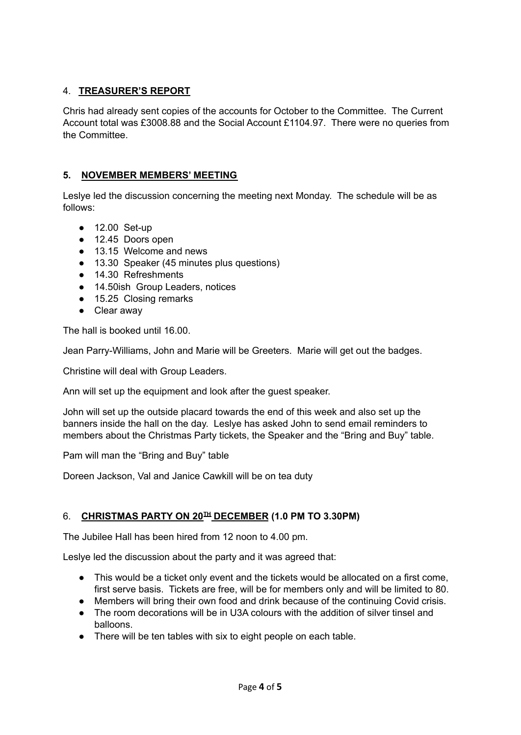## 4. **TREASURER'S REPORT**

Chris had already sent copies of the accounts for October to the Committee. The Current Account total was £3008.88 and the Social Account £1104.97. There were no queries from the Committee.

# **5. NOVEMBER MEMBERS' MEETING**

Leslye led the discussion concerning the meeting next Monday. The schedule will be as follows:

- 12.00 Set-up
- 12.45 Doors open
- 13.15 Welcome and news
- 13.30 Speaker (45 minutes plus questions)
- 14.30 Refreshments
- 14.50ish Group Leaders, notices
- 15.25 Closing remarks
- Clear away

The hall is booked until 16.00.

Jean Parry-Williams, John and Marie will be Greeters. Marie will get out the badges.

Christine will deal with Group Leaders.

Ann will set up the equipment and look after the guest speaker.

John will set up the outside placard towards the end of this week and also set up the banners inside the hall on the day. Leslye has asked John to send email reminders to members about the Christmas Party tickets, the Speaker and the "Bring and Buy" table.

Pam will man the "Bring and Buy" table

Doreen Jackson, Val and Janice Cawkill will be on tea duty

## 6. **CHRISTMAS PARTY ON 20 TH DECEMBER (1.0 PM TO 3.30PM)**

The Jubilee Hall has been hired from 12 noon to 4.00 pm.

Leslye led the discussion about the party and it was agreed that:

- This would be a ticket only event and the tickets would be allocated on a first come, first serve basis. Tickets are free, will be for members only and will be limited to 80.
- Members will bring their own food and drink because of the continuing Covid crisis.
- The room decorations will be in U3A colours with the addition of silver tinsel and balloons.
- There will be ten tables with six to eight people on each table.